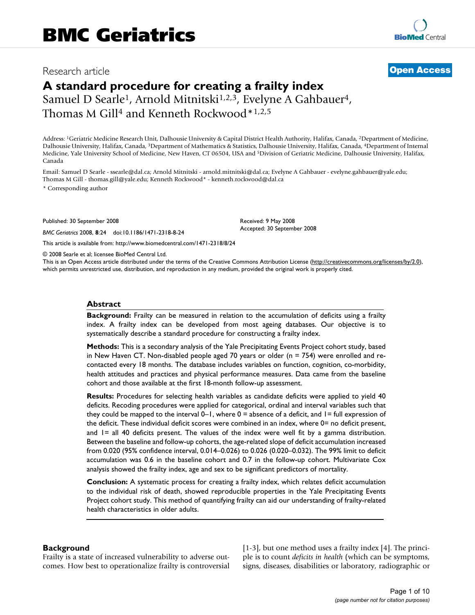# Research article **[Open Access](http://www.biomedcentral.com/info/about/charter/)**

# **A standard procedure for creating a frailty index** Samuel D Searle<sup>1</sup>, Arnold Mitnitski<sup>1,2,3</sup>, Evelyne A Gahbauer<sup>4</sup>, Thomas M Gill<sup>4</sup> and Kenneth Rockwood\*1,2,5

Address: 1Geriatric Medicine Research Unit, Dalhousie University & Capital District Health Authority, Halifax, Canada, 2Department of Medicine, Dalhousie University, Halifax, Canada, 3Department of Mathematics & Statistics, Dalhousie University, Halifax, Canada, 4Department of Internal Medicine, Yale University School of Medicine, New Haven, CT 06504, USA and 5Division of Geriatric Medicine, Dalhousie University, Halifax, Canada

Email: Samuel D Searle - ssearle@dal.ca; Arnold Mitnitski - arnold.mitnitski@dal.ca; Evelyne A Gahbauer - evelyne.gahbauer@yale.edu; Thomas M Gill - thomas.gill@yale.edu; Kenneth Rockwood\* - kenneth.rockwood@dal.ca

\* Corresponding author

Published: 30 September 2008

*BMC Geriatrics* 2008, **8**:24 doi:10.1186/1471-2318-8-24

[This article is available from: http://www.biomedcentral.com/1471-2318/8/24](http://www.biomedcentral.com/1471-2318/8/24)

Accepted: 30 September 2008

Received: 9 May 2008

© 2008 Searle et al; licensee BioMed Central Ltd.

This is an Open Access article distributed under the terms of the Creative Commons Attribution License [\(http://creativecommons.org/licenses/by/2.0\)](http://creativecommons.org/licenses/by/2.0), which permits unrestricted use, distribution, and reproduction in any medium, provided the original work is properly cited.

### **Abstract**

**Background:** Frailty can be measured in relation to the accumulation of deficits using a frailty index. A frailty index can be developed from most ageing databases. Our objective is to systematically describe a standard procedure for constructing a frailty index.

**Methods:** This is a secondary analysis of the Yale Precipitating Events Project cohort study, based in New Haven CT. Non-disabled people aged 70 years or older (n = 754) were enrolled and recontacted every 18 months. The database includes variables on function, cognition, co-morbidity, health attitudes and practices and physical performance measures. Data came from the baseline cohort and those available at the first 18-month follow-up assessment.

**Results:** Procedures for selecting health variables as candidate deficits were applied to yield 40 deficits. Recoding procedures were applied for categorical, ordinal and interval variables such that they could be mapped to the interval  $0-1$ , where  $0 =$  absence of a deficit, and  $1 =$  full expression of the deficit. These individual deficit scores were combined in an index, where 0= no deficit present, and 1= all 40 deficits present. The values of the index were well fit by a gamma distribution. Between the baseline and follow-up cohorts, the age-related slope of deficit accumulation increased from 0.020 (95% confidence interval, 0.014–0.026) to 0.026 (0.020–0.032). The 99% limit to deficit accumulation was 0.6 in the baseline cohort and 0.7 in the follow-up cohort. Multivariate Cox analysis showed the frailty index, age and sex to be significant predictors of mortality.

**Conclusion:** A systematic process for creating a frailty index, which relates deficit accumulation to the individual risk of death, showed reproducible properties in the Yale Precipitating Events Project cohort study. This method of quantifying frailty can aid our understanding of frailty-related health characteristics in older adults.

# **Background**

Frailty is a state of increased vulnerability to adverse outcomes. How best to operationalize frailty is controversial [1-3], but one method uses a frailty index [4]. The principle is to count *deficits in health* (which can be symptoms, signs, diseases, disabilities or laboratory, radiographic or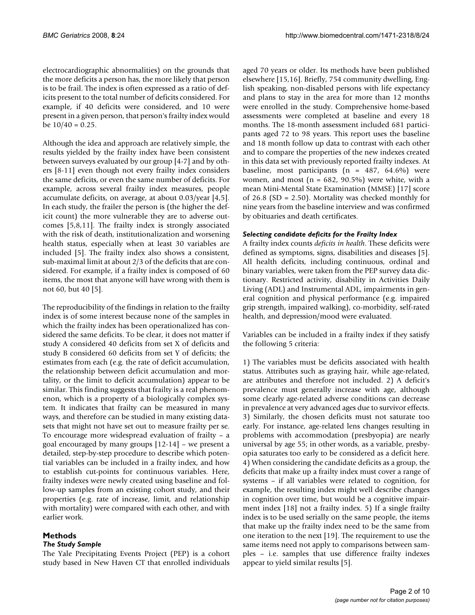electrocardiographic abnormalities) on the grounds that the more deficits a person has, the more likely that person is to be frail. The index is often expressed as a ratio of deficits present to the total number of deficits considered. For example, if 40 deficits were considered, and 10 were present in a given person, that person's frailty index would be  $10/40 = 0.25$ .

Although the idea and approach are relatively simple, the results yielded by the frailty index have been consistent between surveys evaluated by our group [4-7] and by others [8-11] even though not every frailty index considers the same deficits, or even the same number of deficits. For example, across several frailty index measures, people accumulate deficits, on average, at about 0.03/year [4,5]. In each study, the frailer the person is (the higher the deficit count) the more vulnerable they are to adverse outcomes [5,8,11]. The frailty index is strongly associated with the risk of death, institutionalization and worsening health status, especially when at least 30 variables are included [5]. The frailty index also shows a consistent, sub-maximal limit at about 2/3 of the deficits that are considered. For example, if a frailty index is composed of 60 items, the most that anyone will have wrong with them is not 60, but 40 [5].

The reproducibility of the findings in relation to the frailty index is of some interest because none of the samples in which the frailty index has been operationalized has considered the same deficits. To be clear, it does not matter if study A considered 40 deficits from set X of deficits and study B considered 60 deficits from set Y of deficits; the estimates from each (e.g. the rate of deficit accumulation, the relationship between deficit accumulation and mortality, or the limit to deficit accumulation) appear to be similar. This finding suggests that frailty is a real phenomenon, which is a property of a biologically complex system. It indicates that frailty can be measured in many ways, and therefore can be studied in many existing datasets that might not have set out to measure frailty per se. To encourage more widespread evaluation of frailty – a goal encouraged by many groups [12-14] – we present a detailed, step-by-step procedure to describe which potential variables can be included in a frailty index, and how to establish cut-points for continuous variables. Here, frailty indexes were newly created using baseline and follow-up samples from an existing cohort study, and their properties (e.g. rate of increase, limit, and relationship with mortality) were compared with each other, and with earlier work.

# **Methods**

#### *The Study Sample*

The Yale Precipitating Events Project (PEP) is a cohort study based in New Haven CT that enrolled individuals

aged 70 years or older. Its methods have been published elsewhere [15,16]. Briefly, 754 community dwelling, English speaking, non-disabled persons with life expectancy and plans to stay in the area for more than 12 months were enrolled in the study. Comprehensive home-based assessments were completed at baseline and every 18 months. The 18-month assessment included 681 participants aged 72 to 98 years. This report uses the baseline and 18 month follow up data to contrast with each other and to compare the properties of the new indexes created in this data set with previously reported frailty indexes. At baseline, most participants (n = 487, 64.6%) were women, and most ( $n = 682$ , 90.5%) were white, with a mean Mini-Mental State Examination (MMSE) [17] score of 26.8 (SD = 2.50). Mortality was checked monthly for nine years from the baseline interview and was confirmed by obituaries and death certificates.

### *Selecting candidate deficits for the Frailty Index*

A frailty index counts *deficits in health*. These deficits were defined as symptoms, signs, disabilities and diseases [5]. All health deficits, including continuous, ordinal and binary variables, were taken from the PEP survey data dictionary. Restricted activity, disability in Activities Daily Living (ADL) and Instrumental ADL, impairments in general cognition and physical performance (e.g. impaired grip strength, impaired walking), co-morbidity, self-rated health, and depression/mood were evaluated.

Variables can be included in a frailty index if they satisfy the following 5 criteria:

1) The variables must be deficits associated with health status. Attributes such as graying hair, while age-related, are attributes and therefore not included. 2) A deficit's prevalence must generally increase with age, although some clearly age-related adverse conditions can decrease in prevalence at very advanced ages due to survivor effects. 3) Similarly, the chosen deficits must not saturate too early. For instance, age-related lens changes resulting in problems with accommodation (presbyopia) are nearly universal by age 55; in other words, as a variable, presbyopia saturates too early to be considered as a deficit here. 4) When considering the candidate deficits as a group, the deficits that make up a frailty index must cover a range of systems – if all variables were related to cognition, for example, the resulting index might well describe changes in cognition over time, but would be a cognitive impairment index [18] not a frailty index. 5) If a single frailty index is to be used serially on the same people, the items that make up the frailty index need to be the same from one iteration to the next [19]. The requirement to use the same items need not apply to comparisons between samples – i.e. samples that use difference frailty indexes appear to yield similar results [5].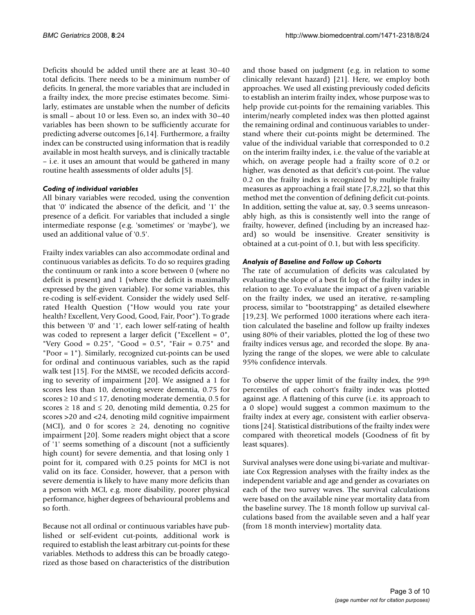Deficits should be added until there are at least 30–40 total deficits. There needs to be a minimum number of deficits. In general, the more variables that are included in a frailty index, the more precise estimates become. Similarly, estimates are unstable when the number of deficits is small – about 10 or less. Even so, an index with 30–40 variables has been shown to be sufficiently accurate for predicting adverse outcomes [6,14]. Furthermore, a frailty index can be constructed using information that is readily available in most health surveys, and is clinically tractable – i.e. it uses an amount that would be gathered in many routine health assessments of older adults [5].

# *Coding of individual variables*

All binary variables were recoded, using the convention that '0' indicated the absence of the deficit, and '1' the presence of a deficit. For variables that included a single intermediate response (e.g. 'sometimes' or 'maybe'), we used an additional value of '0.5'.

Frailty index variables can also accommodate ordinal and continuous variables as deficits. To do so requires grading the continuum or rank into a score between 0 (where no deficit is present) and 1 (where the deficit is maximally expressed by the given variable). For some variables, this re-coding is self-evident. Consider the widely used Selfrated Health Question ("How would you rate your health? Excellent, Very Good, Good, Fair, Poor"). To grade this between '0' and '1', each lower self-rating of health was coded to represent a larger deficit ("Excellent = 0", "Very Good = 0.25", "Good = 0.5", "Fair = 0.75" and "Poor = 1"). Similarly, recognized cut-points can be used for ordinal and continuous variables, such as the rapid walk test [15]. For the MMSE, we recoded deficits according to severity of impairment [20]. We assigned a 1 for scores less than 10, denoting severe dementia, 0.75 for scores ≥ 10 and ≤ 17, denoting moderate dementia, 0.5 for scores  $\geq 18$  and  $\leq 20$ , denoting mild dementia, 0.25 for scores >20 and <24, denoting mild cognitive impairment (MCI), and 0 for scores  $\geq$  24, denoting no cognitive impairment [20]. Some readers might object that a score of '1' seems something of a discount (not a sufficiently high count) for severe dementia, and that losing only 1 point for it, compared with 0.25 points for MCI is not valid on its face. Consider, however, that a person with severe dementia is likely to have many more deficits than a person with MCI, e.g. more disability, poorer physical performance, higher degrees of behavioural problems and so forth.

Because not all ordinal or continuous variables have published or self-evident cut-points, additional work is required to establish the least arbitrary cut-points for these variables. Methods to address this can be broadly categorized as those based on characteristics of the distribution

and those based on judgment (e.g. in relation to some clinically relevant hazard) [21]. Here, we employ both approaches. We used all existing previously coded deficits to establish an interim frailty index, whose purpose was to help provide cut-points for the remaining variables. This interim/nearly completed index was then plotted against the remaining ordinal and continuous variables to understand where their cut-points might be determined. The value of the individual variable that corresponded to 0.2 on the interim frailty index, i.e. the value of the variable at which, on average people had a frailty score of 0.2 or higher, was denoted as that deficit's cut-point. The value 0.2 on the frailty index is recognized by multiple frailty measures as approaching a frail state [7,8,22], so that this method met the convention of defining deficit cut-points. In addition, setting the value at, say, 0.3 seems unreasonably high, as this is consistently well into the range of frailty, however, defined (including by an increased hazard) so would be insensitive. Greater sensitivity is obtained at a cut-point of 0.1, but with less specificity.

# *Analysis of Baseline and Follow up Cohorts*

The rate of accumulation of deficits was calculated by evaluating the slope of a best fit log of the frailty index in relation to age. To evaluate the impact of a given variable on the frailty index, we used an iterative, re-sampling process, similar to "bootstrapping" as detailed elsewhere [19,23]. We performed 1000 iterations where each iteration calculated the baseline and follow up frailty indexes using 80% of their variables, plotted the log of these two frailty indices versus age, and recorded the slope. By analyzing the range of the slopes, we were able to calculate 95% confidence intervals.

To observe the upper limit of the frailty index, the 99th percentiles of each cohort's frailty index was plotted against age. A flattening of this curve (i.e. its approach to a 0 slope) would suggest a common maximum to the frailty index at every age, consistent with earlier observations [24]. Statistical distributions of the frailty index were compared with theoretical models (Goodness of fit by least squares).

Survival analyses were done using bi-variate and multivariate Cox Regression analyses with the frailty index as the independent variable and age and gender as covariates on each of the two survey waves. The survival calculations were based on the available nine year mortality data from the baseline survey. The 18 month follow up survival calculations based from the available seven and a half year (from 18 month interview) mortality data.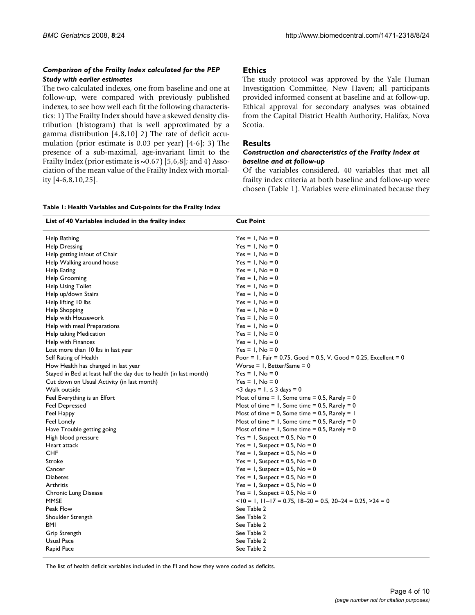# *Comparison of the Frailty Index calculated for the PEP Study with earlier estimates*

The two calculated indexes, one from baseline and one at follow-up, were compared with previously published indexes, to see how well each fit the following characteristics: 1) The Frailty Index should have a skewed density distribution (histogram) that is well approximated by a gamma distribution [4,8,10] 2) The rate of deficit accumulation (prior estimate is 0.03 per year) [4-6]; 3) The presence of a sub-maximal, age-invariant limit to the Frailty Index (prior estimate is  $\sim 0.67$ ) [5,6,8]; and 4) Association of the mean value of the Frailty Index with mortality [4-6,8,10,25].

#### **Table 1: Health Variables and Cut-points for the Frailty Index**

# **Ethics**

The study protocol was approved by the Yale Human Investigation Committee, New Haven; all participants provided informed consent at baseline and at follow-up. Ethical approval for secondary analyses was obtained from the Capital District Health Authority, Halifax, Nova Scotia.

# **Results**

# *Construction and characteristics of the Frailty Index at baseline and at follow-up*

Of the variables considered, 40 variables that met all frailty index criteria at both baseline and follow-up were chosen (Table 1). Variables were eliminated because they

| List of 40 Variables included in the frailty index                | <b>Cut Point</b>                                                 |  |  |
|-------------------------------------------------------------------|------------------------------------------------------------------|--|--|
| Help Bathing                                                      | $Yes = 1. No = 0$                                                |  |  |
| <b>Help Dressing</b>                                              | $Yes = 1. No = 0$                                                |  |  |
| Help getting in/out of Chair                                      | $Yes = 1, No = 0$                                                |  |  |
| Help Walking around house                                         | $Yes = 1, No = 0$                                                |  |  |
| <b>Help Eating</b>                                                | $Yes = 1, No = 0$                                                |  |  |
| Help Grooming                                                     | $Yes = 1, No = 0$                                                |  |  |
| Help Using Toilet                                                 | $Yes = 1, No = 0$                                                |  |  |
| Help up/down Stairs                                               | $Yes = 1, No = 0$                                                |  |  |
| Help lifting 10 lbs                                               | $Yes = 1, No = 0$                                                |  |  |
| Help Shopping                                                     | $Yes = 1, No = 0$                                                |  |  |
| Help with Housework                                               | $Yes = 1, No = 0$                                                |  |  |
| Help with meal Preparations                                       | $Yes = 1, No = 0$                                                |  |  |
| Help taking Medication                                            | $Yes = 1, No = 0$                                                |  |  |
| Help with Finances                                                | $Yes = 1, No = 0$                                                |  |  |
| Lost more than 10 lbs in last year                                | $Yes = 1, No = 0$                                                |  |  |
| Self Rating of Health                                             | Poor = 1, Fair = 0.75, Good = 0.5, V. Good = 0.25, Excellent = 0 |  |  |
| How Health has changed in last year                               | Worse = $1$ , Better/Same = 0                                    |  |  |
| Stayed in Bed at least half the day due to health (in last month) | $Yes = 1, No = 0$                                                |  |  |
| Cut down on Usual Activity (in last month)                        | $Yes = 1, No = 0$                                                |  |  |
| Walk outside                                                      | $<$ 3 days = 1, $\le$ 3 days = 0                                 |  |  |
| Feel Everything is an Effort                                      | Most of time = 1, Some time = $0.5$ , Rarely = 0                 |  |  |
| Feel Depressed                                                    | Most of time = 1, Some time = $0.5$ , Rarely = 0                 |  |  |
| Feel Happy                                                        | Most of time = 0, Some time = $0.5$ , Rarely = 1                 |  |  |
| Feel Lonely                                                       | Most of time = 1, Some time = $0.5$ , Rarely = 0                 |  |  |
| Have Trouble getting going                                        | Most of time = 1, Some time = $0.5$ , Rarely = 0                 |  |  |
| High blood pressure                                               | $Yes = 1, Suspect = 0.5, No = 0$                                 |  |  |
| Heart attack                                                      | $Yes = 1, Suspect = 0.5, No = 0$                                 |  |  |
| <b>CHF</b>                                                        | $Yes = 1, Suspect = 0.5, No = 0$                                 |  |  |
| Stroke                                                            | $Yes = 1, Suspect = 0.5, No = 0$                                 |  |  |
| Cancer                                                            | $Yes = 1, Suspect = 0.5, No = 0$                                 |  |  |
| Diabetes                                                          | $Yes = 1, Suspect = 0.5, No = 0$                                 |  |  |
| Arthritis                                                         | $Yes = 1, Suspect = 0.5, No = 0$                                 |  |  |
| Chronic Lung Disease                                              | $Yes = 1, Suspect = 0.5, No = 0$                                 |  |  |
| <b>MMSE</b>                                                       | $<$ 10 = 1, 11–17 = 0.75, 18–20 = 0.5, 20–24 = 0.25, >24 = 0     |  |  |
| Peak Flow                                                         | See Table 2                                                      |  |  |
| Shoulder Strength                                                 | See Table 2                                                      |  |  |
| BMI                                                               | See Table 2                                                      |  |  |
| Grip Strength                                                     | See Table 2                                                      |  |  |
| Usual Pace                                                        | See Table 2                                                      |  |  |
| Rapid Pace                                                        | See Table 2                                                      |  |  |

The list of health deficit variables included in the FI and how they were coded as deficits.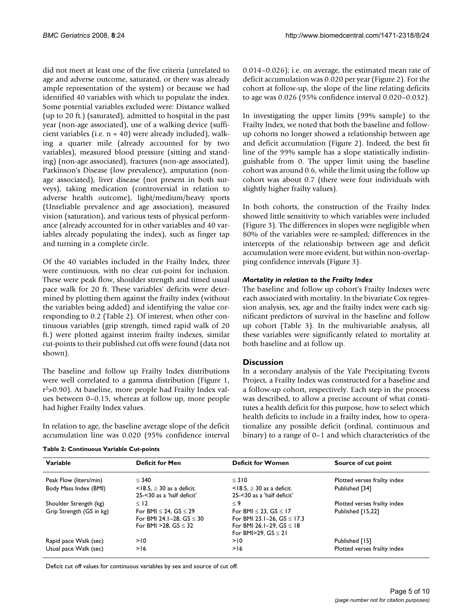did not meet at least one of the five criteria (unrelated to age and adverse outcome, saturated, or there was already ample representation of the system) or because we had identified 40 variables with which to populate the index. Some potential variables excluded were: Distance walked (up to 20 ft.) (saturated), admitted to hospital in the past year (non-age associated), use of a walking device (sufficient variables (i.e.  $n = 40$ ) were already included), walking a quarter mile (already accounted for by two variables), measured blood pressure (sitting and standing) (non-age associated), fractures (non-age associated), Parkinson's Disease (low prevalence), amputation (nonage associated), liver disease (not present in both surveys), taking medication (controversial in relation to adverse health outcome), light/medium/heavy sports (Unreliable prevalence and age association), measured vision (saturation), and various tests of physical performance (already accounted for in other variables and 40 variables already populating the index), such as finger tap and turning in a complete circle.

Of the 40 variables included in the Frailty Index, three were continuous, with no clear cut-point for inclusion. These were peak flow, shoulder strength and timed usual pace walk for 20 ft. These variables' deficits were determined by plotting them against the frailty index (without the variables being added) and identifying the value corresponding to 0.2 (Table 2). Of interest, when other continuous variables (grip strength, timed rapid walk of 20 ft.) were plotted against interim frailty indexes, similar cut-points to their published cut offs were found (data not shown).

The baseline and follow up Frailty Index distributions were well correlated to a gamma distribution (Figure 1, r2>0.90). At baseline, more people had Frailty Index values between 0–0.15, whereas at follow up, more people had higher Frailty Index values.

In relation to age, the baseline average slope of the deficit accumulation line was 0.020 (95% confidence interval

| Table 2: Continuous Variable Cut-points |
|-----------------------------------------|
|-----------------------------------------|

0.014–0.026); i.e. on average, the estimated mean rate of deficit accumulation was 0.020 per year (Figure 2). For the cohort at follow-up, the slope of the line relating deficits to age was 0.026 (95% confidence interval 0.020–0.032).

In investigating the upper limits (99% sample) to the Frailty Index, we noted that both the baseline and followup cohorts no longer showed a relationship between age and deficit accumulation (Figure 2). Indeed, the best fit line of the 99% sample has a slope statistically indistinguishable from 0. The upper limit using the baseline cohort was around 0.6, while the limit using the follow up cohort was about 0.7 (there were four individuals with slightly higher frailty values).

In both cohorts, the construction of the Frailty Index showed little sensitivity to which variables were included (Figure 3). The differences in slopes were negligible when 80% of the variables were re-sampled; differences in the intercepts of the relationship between age and deficit accumulation were more evident, but within non-overlapping confidence intervals (Figure 3).

# *Mortality in relation to the Frailty Index*

The baseline and follow up cohort's Frailty Indexes were each associated with mortality. In the bivariate Cox regression analysis, sex, age and the frailty index were each significant predictors of survival in the baseline and follow up cohort (Table 3). In the multivariable analysis, all these variables were significantly related to mortality at both baseline and at follow up.

# **Discussion**

In a secondary analysis of the Yale Precipitating Events Project, a Frailty Index was constructed for a baseline and a follow-up cohort, respectively. Each step in the process was described, to allow a precise account of what constitutes a health deficit for this purpose, how to select which health deficits to include in a frailty index, how to operationalize any possible deficit (ordinal, continuous and binary) to a range of 0–1 and which characteristics of the

| Variable                 | <b>Deficit for Men</b>                                                                        | <b>Deficit for Women</b>                                                                                                        | Source of cut point<br>Plotted verses frailty index |  |
|--------------------------|-----------------------------------------------------------------------------------------------|---------------------------------------------------------------------------------------------------------------------------------|-----------------------------------------------------|--|
| Peak Flow (liters/min)   | $<$ 340                                                                                       | $\leq$ 310                                                                                                                      |                                                     |  |
| Body Mass Index (BMI)    | $\leq$ 18.5, $\geq$ 30 as a deficit.<br>$25 - 30$ as a 'half deficit'                         | $\leq$ 18.5, $\geq$ 30 as a deficit.<br>25-<30 as a 'half deficit'                                                              | Published [34]                                      |  |
| Shoulder Strength (kg)   | < 12                                                                                          | $\leq 9$                                                                                                                        | Plotted verses frailty index                        |  |
| Grip Strength (GS in kg) | For BMI $\leq$ 24, GS $\leq$ 29<br>For BMI 24.1-28, $GS \leq 30$<br>For BMI >28, $GS \leq 32$ | For BMI $\leq$ 23, GS $\leq$ 17<br>For BMI 23.1-26, $GS \leq 17.3$<br>For BMI 26.1-29, $GS \leq 18$<br>For BMI>29, $GS \leq 21$ | Published [15,22]                                   |  |
| Rapid pace Walk (sec)    | >10                                                                                           | >10                                                                                                                             | Published [15]                                      |  |
| Usual pace Walk (sec)    | >16                                                                                           | >16                                                                                                                             | Plotted verses frailty index                        |  |

Deficit cut off values for continuous variables by sex and source of cut off.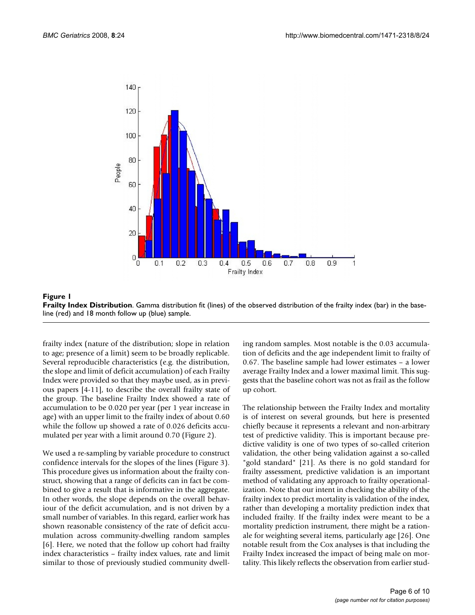

#### **Figure 1**

**Frailty Index Distribution**. Gamma distribution fit (lines) of the observed distribution of the frailty index (bar) in the baseline (red) and 18 month follow up (blue) sample.

frailty index (nature of the distribution; slope in relation to age; presence of a limit) seem to be broadly replicable. Several reproducible characteristics (e.g. the distribution, the slope and limit of deficit accumulation) of each Frailty Index were provided so that they maybe used, as in previous papers [4-11], to describe the overall frailty state of the group. The baseline Frailty Index showed a rate of accumulation to be 0.020 per year (per 1 year increase in age) with an upper limit to the frailty index of about 0.60 while the follow up showed a rate of 0.026 deficits accumulated per year with a limit around 0.70 (Figure 2).

We used a re-sampling by variable procedure to construct confidence intervals for the slopes of the lines (Figure 3). This procedure gives us information about the frailty construct, showing that a range of deficits can in fact be combined to give a result that is informative in the aggregate. In other words, the slope depends on the overall behaviour of the deficit accumulation, and is not driven by a small number of variables. In this regard, earlier work has shown reasonable consistency of the rate of deficit accumulation across community-dwelling random samples [6]. Here, we noted that the follow up cohort had frailty index characteristics – frailty index values, rate and limit similar to those of previously studied community dwelling random samples. Most notable is the 0.03 accumulation of deficits and the age independent limit to frailty of 0.67. The baseline sample had lower estimates – a lower average Frailty Index and a lower maximal limit. This suggests that the baseline cohort was not as frail as the follow up cohort.

The relationship between the Frailty Index and mortality is of interest on several grounds, but here is presented chiefly because it represents a relevant and non-arbitrary test of predictive validity. This is important because predictive validity is one of two types of so-called criterion validation, the other being validation against a so-called "gold standard" [21]. As there is no gold standard for frailty assessment, predictive validation is an important method of validating any approach to frailty operationalization. Note that our intent in checking the ability of the frailty index to predict mortality is validation of the index, rather than developing a mortality prediction index that included frailty. If the frailty index were meant to be a mortality prediction instrument, there might be a rationale for weighting several items, particularly age [26]. One notable result from the Cox analyses is that including the Frailty Index increased the impact of being male on mortality. This likely reflects the observation from earlier stud-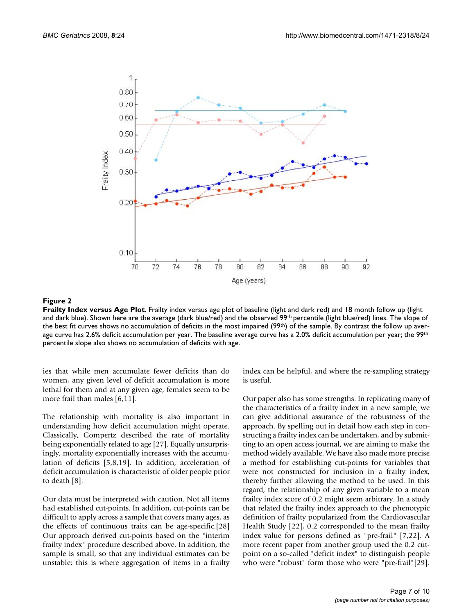

#### **Figure 2**

**Frailty Index versus Age Plot**. Frailty index versus age plot of baseline (light and dark red) and 18 month follow up (light and dark blue). Shown here are the average (dark blue/red) and the observed 99<sup>th</sup> percentile (light blue/red) lines. The slope of the best fit curves shows no accumulation of deficits in the most impaired ( $99th$ ) of the sample. By contrast the follow up average curve has 2.6% deficit accumulation per year. The baseline average curve has a 2.0% deficit accumulation per year; the 99<sup>th</sup> percentile slope also shows no accumulation of deficits with age.

ies that while men accumulate fewer deficits than do women, any given level of deficit accumulation is more lethal for them and at any given age, females seem to be more frail than males [6,11].

The relationship with mortality is also important in understanding how deficit accumulation might operate. Classically, Gompertz described the rate of mortality being exponentially related to age [27]. Equally unsurprisingly, mortality exponentially increases with the accumulation of deficits [5,8,19]. In addition, acceleration of deficit accumulation is characteristic of older people prior to death [8].

Our data must be interpreted with caution. Not all items had established cut-points. In addition, cut-points can be difficult to apply across a sample that covers many ages, as the effects of continuous traits can be age-specific.[28] Our approach derived cut-points based on the "interim frailty index" procedure described above. In addition, the sample is small, so that any individual estimates can be unstable; this is where aggregation of items in a frailty index can be helpful, and where the re-sampling strategy is useful.

Our paper also has some strengths. In replicating many of the characteristics of a frailty index in a new sample, we can give additional assurance of the robustness of the approach. By spelling out in detail how each step in constructing a frailty index can be undertaken, and by submitting to an open access journal, we are aiming to make the method widely available. We have also made more precise a method for establishing cut-points for variables that were not constructed for inclusion in a frailty index, thereby further allowing the method to be used. In this regard, the relationship of any given variable to a mean frailty index score of 0.2 might seem arbitrary. In a study that related the frailty index approach to the phenotypic definition of frailty popularized from the Cardiovascular Health Study [22], 0.2 corresponded to the mean frailty index value for persons defined as "pre-frail" [7,22]. A more recent paper from another group used the 0.2 cutpoint on a so-called "deficit index" to distinguish people who were "robust" form those who were "pre-frail"[29].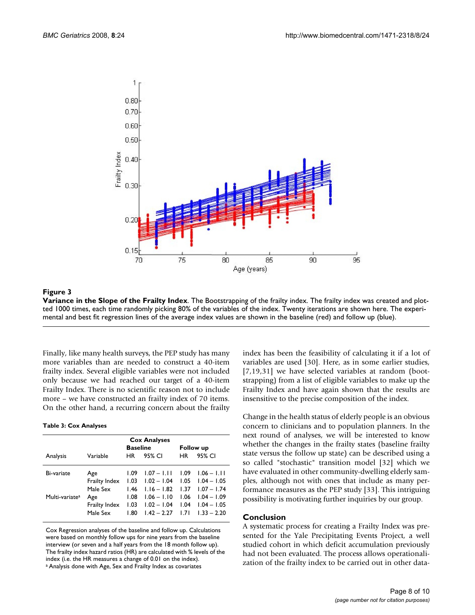

#### **Figure 3**

**Variance in the Slope of the Frailty Index**. The Bootstrapping of the frailty index. The frailty index was created and plotted 1000 times, each time randomly picking 80% of the variables of the index. Twenty iterations are shown here. The experimental and best fit regression lines of the average index values are shown in the baseline (red) and follow up (blue).

Finally, like many health surveys, the PEP study has many more variables than are needed to construct a 40-item frailty index. Several eligible variables were not included only because we had reached our target of a 40-item Frailty Index. There is no scientific reason not to include more – we have constructed an frailty index of 70 items. On the other hand, a recurring concern about the frailty

#### **Table 3: Cox Analyses**

|                                          |                                                                      | <b>Baseline</b>                              | <b>Cox Analyses</b>                                                                                | Follow up                                    |                                                                                                    |
|------------------------------------------|----------------------------------------------------------------------|----------------------------------------------|----------------------------------------------------------------------------------------------------|----------------------------------------------|----------------------------------------------------------------------------------------------------|
| Analysis                                 | Variable                                                             | HR                                           | 95% CI                                                                                             | HR.                                          | 95% CI                                                                                             |
| Bi-variate<br>Multi-variate <sup>a</sup> | Age<br>Frailty Index<br>Male Sex<br>Age<br>Frailty Index<br>Male Sex | 1.09<br>1.03<br>1.46<br>1.08<br>1.03<br>1.80 | $1.07 - 1.11$<br>$1.02 - 1.04$<br>$1.16 - 1.82$<br>$1.06 - 1.10$<br>$1.02 - 1.04$<br>$1.42 - 2.27$ | 1.09<br>1.05<br>1.37<br>1.06<br>1.04<br>1.71 | $1.06 - 1.11$<br>$1.04 - 1.05$<br>$1.07 - 1.74$<br>$1.04 - 1.09$<br>$1.04 - 1.05$<br>$1.33 - 2.20$ |

Cox Regression analyses of the baseline and follow up. Calculations were based on monthly follow ups for nine years from the baseline interview (or seven and a half years from the 18 month follow up). The frailty index hazard ratios (HR) are calculated with % levels of the index (i.e. the HR measures a change of 0.01 on the index).

a Analysis done with Age, Sex and Frailty Index as covariates

index has been the feasibility of calculating it if a lot of variables are used [30]. Here, as in some earlier studies, [7,19,31] we have selected variables at random (bootstrapping) from a list of eligible variables to make up the Frailty Index and have again shown that the results are insensitive to the precise composition of the index.

Change in the health status of elderly people is an obvious concern to clinicians and to population planners. In the next round of analyses, we will be interested to know whether the changes in the frailty states (baseline frailty state versus the follow up state) can be described using a so called "stochastic" transition model [32] which we have evaluated in other community-dwelling elderly samples, although not with ones that include as many performance measures as the PEP study [33]. This intriguing possibility is motivating further inquiries by our group.

#### **Conclusion**

A systematic process for creating a Frailty Index was presented for the Yale Precipitating Events Project, a well studied cohort in which deficit accumulation previously had not been evaluated. The process allows operationalization of the frailty index to be carried out in other data-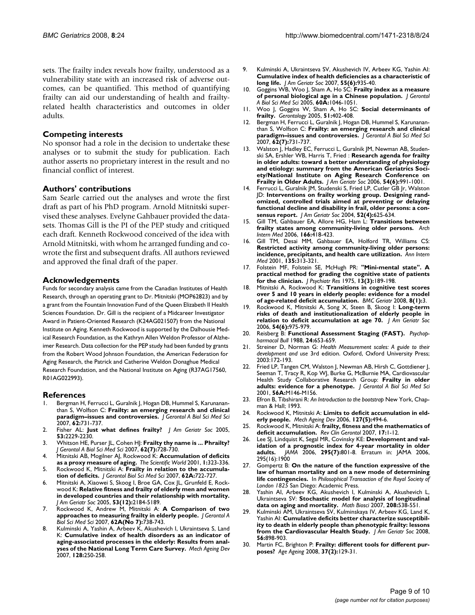sets. The frailty index reveals how frailty, understood as a vulnerability state with an increased risk of adverse outcomes, can be quantified. This method of quantifying frailty can aid our understanding of health and frailtyrelated health characteristics and outcomes in older adults.

#### **Competing interests**

No sponsor had a role in the decision to undertake these analyses or to submit the study for publication. Each author asserts no proprietary interest in the result and no financial conflict of interest.

# **Authors' contributions**

Sam Searle carried out the analyses and wrote the first draft as part of his PhD program. Arnold Mitnitski supervised these analyses. Evelyne Gahbauer provided the datasets. Thomas Gill is the PI of the PEP study and critiqued each draft. Kenneth Rockwood conceived of the idea with Arnold Mitnitski, with whom he arranged funding and cowrote the first and subsequent drafts. All authors reviewed and approved the final draft of the paper.

#### **Acknowledgements**

Funds for secondary analysis came from the Canadian Institutes of Health Research, through an operating grant to Dr. Mitnitski (MOP62823) and by a grant from the Fountain Innovation Fund of the Queen Elizabeth II Health Sciences Foundation. Dr. Gill is the recipient of a Midcareer Investigator Award in Patient-Oriented Research (K24AG021507) from the National Institute on Aging. Kenneth Rockwood is supported by the Dalhousie Medical Research Foundation, as the Kathryn Allen Weldon Professor of Alzheimer Research. Data collection for the PEP study had been funded by grants from the Robert Wood Johnson Foundation, the American Federation for Aging Research, the Patrick and Catherine Weldon Donaghue Medical Research Foundation, and the National Institute on Aging (R37AG17560, R01AG022993).

#### **References**

- Bergman H, Ferrucci L, Guralnik J, Hogan DB, Hummel S, Karunananthan S, Wolfson C: **[Frailty: an emerging research and clinical](http://www.ncbi.nlm.nih.gov/entrez/query.fcgi?cmd=Retrieve&db=PubMed&dopt=Abstract&list_uids=17634320) [paradigm–issues and controversies.](http://www.ncbi.nlm.nih.gov/entrez/query.fcgi?cmd=Retrieve&db=PubMed&dopt=Abstract&list_uids=17634320)** *J Gerontol A Biol Sci Med Sci* 2007, **62:**731-737.
- 2. Fisher AL: **[Just what defines frailty?](http://www.ncbi.nlm.nih.gov/entrez/query.fcgi?cmd=Retrieve&db=PubMed&dopt=Abstract&list_uids=16398915)** *J Am Geriatr Soc* 2005, **53:**2229-2230.
- 3. Whitson HE, Purser JL, Cohen HJ: **[Frailty thy name is ... Phrailty?](http://www.ncbi.nlm.nih.gov/entrez/query.fcgi?cmd=Retrieve&db=PubMed&dopt=Abstract&list_uids=17634319)** *J Gerontol A Biol Sci Med Sci* 2007, **62(7):**728-730.
- 4. Mitnitski AB, Mogilner AJ, Rockwood K: **Accumulation of deficits as a proxy measure of aging.** *The Scientific World* 2001, **1:**323-336.
- 5. Rockwood K, Mitnitski A: **Frailty in relation to the accumulation of deficits.** *J Gerontol Biol Sci Med Sci* 2007, **62A:**722-727.
- 6. Mitnitski A, Xiaowei S, Skoog I, Broe GA, Cox JL, Grunfeld E, Rockwood K: **[Relative fitness and frailty of elderly men and women](http://www.ncbi.nlm.nih.gov/entrez/query.fcgi?cmd=Retrieve&db=PubMed&dopt=Abstract&list_uids=16398907) [in developed countries and their relationship with mortality.](http://www.ncbi.nlm.nih.gov/entrez/query.fcgi?cmd=Retrieve&db=PubMed&dopt=Abstract&list_uids=16398907)** *J Am Geriatr Soc* 2005, **53(12):**2184-5189.
- 7. Rockwood K, Andrew M, Mitnitski A: **A Comparison of two approaches to measuring frailty in elderly people.** *J Gerontol A Biol Sci Med Sci* 2007, **62A(No 7):**738-743.
- Kulminski A, Yashin A, Arbeev K, Akushevich I, Ukraintseva S, Land K: **[Cumulative index of health disorders as an indicator of](http://www.ncbi.nlm.nih.gov/entrez/query.fcgi?cmd=Retrieve&db=PubMed&dopt=Abstract&list_uids=17223183) [aging-associated processes in the elderly: Results from anal](http://www.ncbi.nlm.nih.gov/entrez/query.fcgi?cmd=Retrieve&db=PubMed&dopt=Abstract&list_uids=17223183)[yses of the National Long Term Care Survey.](http://www.ncbi.nlm.nih.gov/entrez/query.fcgi?cmd=Retrieve&db=PubMed&dopt=Abstract&list_uids=17223183)** *Mech Ageing Dev* 2007, **128:**250-258.
- 9. Kulminski A, Ukraintseva SV, Akushevich IV, Arbeev KG, Yashin AI: **[Cumulative index of health deficiencies as a characteristic of](http://www.ncbi.nlm.nih.gov/entrez/query.fcgi?cmd=Retrieve&db=PubMed&dopt=Abstract&list_uids=17537097) [long life.](http://www.ncbi.nlm.nih.gov/entrez/query.fcgi?cmd=Retrieve&db=PubMed&dopt=Abstract&list_uids=17537097)** *J Am Geriatr Soc* 2007, **55(6):**935-40.
- 10. Goggins WB, Woo J, Sham A, Ho SC: **Frailty index as a measure of personal biological age in a Chinese population.** *J Gerontol A Biol Sci Med Sci* 2005, **60A:**1046-1051.
- 11. Woo J, Goggins W, Sham A, Ho SC: **[Social determinants of](http://www.ncbi.nlm.nih.gov/entrez/query.fcgi?cmd=Retrieve&db=PubMed&dopt=Abstract&list_uids=16299422) [frailty.](http://www.ncbi.nlm.nih.gov/entrez/query.fcgi?cmd=Retrieve&db=PubMed&dopt=Abstract&list_uids=16299422)** *Gerontology* 2005, **51:**402-408.
- 12. Bergman H, Ferrucci L, Guralnik J, Hogan DB, Hummel S, Karunananthan S, Wolfson C: **[Frailty: an emerging research and clinical](http://www.ncbi.nlm.nih.gov/entrez/query.fcgi?cmd=Retrieve&db=PubMed&dopt=Abstract&list_uids=17634320) [paradigm–issues and controversies.](http://www.ncbi.nlm.nih.gov/entrez/query.fcgi?cmd=Retrieve&db=PubMed&dopt=Abstract&list_uids=17634320)** *J Gerontol A Biol Sci Med Sci* 2007, **62(7):**731-737.
- 13. Walston J, Hadley EC, Ferrucci L, Guralnik JM, Newman AB, Studenski SA, Ershler WB, Harris T, Fried : **[Research agenda for frailty](http://www.ncbi.nlm.nih.gov/entrez/query.fcgi?cmd=Retrieve&db=PubMed&dopt=Abstract&list_uids=16776798) [in older adults: toward a better understanding of physiology](http://www.ncbi.nlm.nih.gov/entrez/query.fcgi?cmd=Retrieve&db=PubMed&dopt=Abstract&list_uids=16776798) and etiology: summary from the American Geriatrics Society/National Institute on Aging Research Conference on [Frailty in Older Adults.](http://www.ncbi.nlm.nih.gov/entrez/query.fcgi?cmd=Retrieve&db=PubMed&dopt=Abstract&list_uids=16776798)** *J Am Geriatr Soc* 2006, **54(6):**991-1001.
- 14. Ferrucci L, Guralnik JM, Studenski S, Fried LP, Cutler GB Jr, Walston JD: **[Interventions on frailty working group. Designing rand](http://www.ncbi.nlm.nih.gov/entrez/query.fcgi?cmd=Retrieve&db=PubMed&dopt=Abstract&list_uids=15066083)omized, controlled trials aimed at preventing or delaying [functional decline and disability in frail, older persons: a con](http://www.ncbi.nlm.nih.gov/entrez/query.fcgi?cmd=Retrieve&db=PubMed&dopt=Abstract&list_uids=15066083)[sensus report.](http://www.ncbi.nlm.nih.gov/entrez/query.fcgi?cmd=Retrieve&db=PubMed&dopt=Abstract&list_uids=15066083)** *J Am Geriatr Soc* 2004, **52(4):**625-634.
- 15. Gill TM, Gahbauer EA, Allore HG, Ham L: **[Transitions between](http://www.ncbi.nlm.nih.gov/entrez/query.fcgi?cmd=Retrieve&db=PubMed&dopt=Abstract&list_uids=16505261) [frailty states among community-living older persons.](http://www.ncbi.nlm.nih.gov/entrez/query.fcgi?cmd=Retrieve&db=PubMed&dopt=Abstract&list_uids=16505261)** *Arch Intern Med* 2006, **166:**418-423.
- 16. Gill TM, Desai MM, Gahbauer EA, Holford TR, Williams CS: **[Restricted activity among community-living older persons:](http://www.ncbi.nlm.nih.gov/entrez/query.fcgi?cmd=Retrieve&db=PubMed&dopt=Abstract&list_uids=11529694) [incidence, precipitants, and health care utilization.](http://www.ncbi.nlm.nih.gov/entrez/query.fcgi?cmd=Retrieve&db=PubMed&dopt=Abstract&list_uids=11529694)** *Ann Intern Med* 2001, **135:**313-321.
- 17. Folstein MF, Folstein SE, McHugh PR: **"Mini-mental state". A practical method for grading the cognitive state of patients for the clinician.** *J Psychiatr Res* 1975, **13(3):**189-198.
- 18. Mitnitski A, Rockwood K: **[Transitions in cognitive test scores](http://www.ncbi.nlm.nih.gov/entrez/query.fcgi?cmd=Retrieve&db=PubMed&dopt=Abstract&list_uids=18282295) [over 5 and 10 years in elderly people: evidence for a model](http://www.ncbi.nlm.nih.gov/entrez/query.fcgi?cmd=Retrieve&db=PubMed&dopt=Abstract&list_uids=18282295) [of age-related deficit accumulation.](http://www.ncbi.nlm.nih.gov/entrez/query.fcgi?cmd=Retrieve&db=PubMed&dopt=Abstract&list_uids=18282295)** *BMC Geriatr* 2008, **8(1):**3.
- 19. Rockwood K, Mitnitski A, Song X, Steen B, Skoog I: **[Long-term](http://www.ncbi.nlm.nih.gov/entrez/query.fcgi?cmd=Retrieve&db=PubMed&dopt=Abstract&list_uids=16776795) [risks of death and institutionalization of elderly people in](http://www.ncbi.nlm.nih.gov/entrez/query.fcgi?cmd=Retrieve&db=PubMed&dopt=Abstract&list_uids=16776795) [relation to deficit accumulation at age 70.](http://www.ncbi.nlm.nih.gov/entrez/query.fcgi?cmd=Retrieve&db=PubMed&dopt=Abstract&list_uids=16776795)** *J Am Geriatr Soc* 2006, **54(6):**975-979.
- 20. Reisberg B: **[Functional Assessment Staging \(FAST\).](http://www.ncbi.nlm.nih.gov/entrez/query.fcgi?cmd=Retrieve&db=PubMed&dopt=Abstract&list_uids=3249767)** *Psychopharmacol Bull* 1988, **24:**653-659.
- 21. Streiner D, Norman G: *Health Measurement scales: A guide to their development and use* 3rd edition. Oxford, Oxford University Press; 2003:172-193.
- 22. Fried LP, Tangen CM, Walston J, Newman AB, Hirsh C, Gottdiener J, Seeman T, Tracy R, Kop WJ, Burke G, McBurnie MA, Cardiovascular Health Study Collaborative Research Group: **Frailty in older adults: evidence for a phenotype.** *J Gerontol A Biol Sci Med Sci* 2001, **56A:**M146-M156.
- 23. Efron B, Tibshirani R: *An Introduction to the bootstrap* New York, Chapman & Hall; 1993.
- 24. Rockwood K, Mitnitski A: **[Limits to deficit accumulation in eld](http://www.ncbi.nlm.nih.gov/entrez/query.fcgi?cmd=Retrieve&db=PubMed&dopt=Abstract&list_uids=16487992)[erly people.](http://www.ncbi.nlm.nih.gov/entrez/query.fcgi?cmd=Retrieve&db=PubMed&dopt=Abstract&list_uids=16487992)** *Mech Ageing Dev* 2006, **127(5):**494-6.
- 25. Rockwood K, Mitnitski A: **frailty, fitness and the mathematics of deficit accumulation.** *Rev Clin Gerontol* 2007, **17:**1-12.
- 26. Lee SJ, Lindquist K, Segal MR, Covinsky KE: **[Development and val](http://www.ncbi.nlm.nih.gov/entrez/query.fcgi?cmd=Retrieve&db=PubMed&dopt=Abstract&list_uids=16478903)[idation of a prognostic index for 4-year mortality in older](http://www.ncbi.nlm.nih.gov/entrez/query.fcgi?cmd=Retrieve&db=PubMed&dopt=Abstract&list_uids=16478903) [adults.](http://www.ncbi.nlm.nih.gov/entrez/query.fcgi?cmd=Retrieve&db=PubMed&dopt=Abstract&list_uids=16478903)** *JAMA* 2006, **295(7):**801-8. Erratum in: JAMA 2006, 295(16):1900
- 27. Gompertz B: **On the nature of the function expressive of the law of human mortality and on a new mode of determining life contingencies.** In *Philosophical Transaction of the Royal Society of London 1825* San Diego: Academic Press.
- 28. Yashin AI, Arbeev KG, Akushevich I, Kulminski A, Akushevich L, Ukraintseva SV: **[Stochastic model for analysis of longitudinal](http://www.ncbi.nlm.nih.gov/entrez/query.fcgi?cmd=Retrieve&db=PubMed&dopt=Abstract&list_uids=17300818) [data on aging and mortality.](http://www.ncbi.nlm.nih.gov/entrez/query.fcgi?cmd=Retrieve&db=PubMed&dopt=Abstract&list_uids=17300818)** *Math Biosci* 2007, **208:**538-551.
- Kulminski AM, Ukraintseva SV, Kulminskaya IV, Arbeev KG, Land K, Yashin AI: **[Cumulative deficits better characterize susceptibil](http://www.ncbi.nlm.nih.gov/entrez/query.fcgi?cmd=Retrieve&db=PubMed&dopt=Abstract&list_uids=18363679)[ity to death in elderly people than phenotypic frailty: lessons](http://www.ncbi.nlm.nih.gov/entrez/query.fcgi?cmd=Retrieve&db=PubMed&dopt=Abstract&list_uids=18363679) [from the Cardiovascular Health Study.](http://www.ncbi.nlm.nih.gov/entrez/query.fcgi?cmd=Retrieve&db=PubMed&dopt=Abstract&list_uids=18363679)** *J Am Geriatr Soc* 2008, **56:**898-903.
- 30. Martin FC, Brighton P: **[Frailty: different tools for different pur](http://www.ncbi.nlm.nih.gov/entrez/query.fcgi?cmd=Retrieve&db=PubMed&dopt=Abstract&list_uids=18349007)[poses?](http://www.ncbi.nlm.nih.gov/entrez/query.fcgi?cmd=Retrieve&db=PubMed&dopt=Abstract&list_uids=18349007)** *Age Ageing* 2008, **37(2):**129-31.